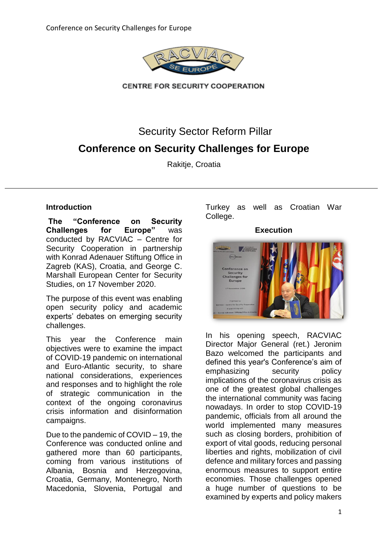

**CENTRE FOR SECURITY COOPERATION** 

Security Sector Reform Pillar

# **Conference on Security Challenges for Europe**

Rakitie, Croatia

# **Introduction**

**The "Conference on Security Challenges for Europe"** was conducted by RACVIAC – Centre for Security Cooperation in partnership with Konrad Adenauer Stiftung Office in Zagreb (KAS), Croatia, and George C. Marshall European Center for Security Studies, on 17 November 2020.

The purpose of this event was enabling open security policy and academic experts' debates on emerging security challenges.

This year the Conference main objectives were to examine the impact of COVID-19 pandemic on international and Euro-Atlantic security, to share national considerations, experiences and responses and to highlight the role of strategic communication in the context of the ongoing coronavirus crisis information and disinformation campaigns.

Due to the pandemic of COVID – 19, the Conference was conducted online and gathered more than 60 participants, coming from various institutions of Albania, Bosnia and Herzegovina, Croatia, Germany, Montenegro, North Macedonia, Slovenia, Portugal and Turkey as well as Croatian War College.

### **Execution**



In his opening speech, RACVIAC Director Major General (ret.) Jeronim Bazo welcomed the participants and defined this year's Conference's aim of emphasizing security policy implications of the coronavirus crisis as one of the greatest global challenges the international community was facing nowadays. In order to stop COVID-19 pandemic, officials from all around the world implemented many measures such as closing borders, prohibition of export of vital goods, reducing personal liberties and rights, mobilization of civil defence and military forces and passing enormous measures to support entire economies. Those challenges opened a huge number of questions to be examined by experts and policy makers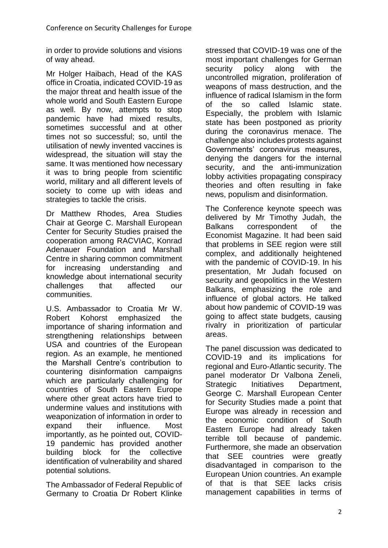in order to provide solutions and visions of way ahead.

Mr Holger Haibach, Head of the KAS office in Croatia, indicated COVID-19 as the major threat and health issue of the whole world and South Eastern Europe as well. By now, attempts to stop pandemic have had mixed results, sometimes successful and at other times not so successful; so, until the utilisation of newly invented vaccines is widespread, the situation will stay the same. It was mentioned how necessary it was to bring people from scientific world, military and all different levels of society to come up with ideas and strategies to tackle the crisis.

Dr Matthew Rhodes, Area Studies Chair at George C. Marshall European Center for Security Studies praised the cooperation among RACVIAC, Konrad Adenauer Foundation and Marshall Centre in sharing common commitment for increasing understanding and knowledge about international security challenges that affected our communities.

U.S. Ambassador to Croatia Mr W. Robert Kohorst emphasized the importance of sharing information and strengthening relationships between USA and countries of the European region. As an example, he mentioned the Marshall Centre's contribution to countering disinformation campaigns which are particularly challenging for countries of South Eastern Europe where other great actors have tried to undermine values and institutions with weaponization of information in order to expand their influence. Most importantly, as he pointed out, COVID-19 pandemic has provided another building block for the collective identification of vulnerability and shared potential solutions.

The Ambassador of Federal Republic of Germany to Croatia Dr Robert Klinke stressed that COVID-19 was one of the most important challenges for German security policy along with the uncontrolled migration, proliferation of weapons of mass destruction, and the influence of radical Islamism in the form of the so called Islamic state. Especially, the problem with Islamic state has been postponed as priority during the coronavirus menace. The challenge also includes protests against Governments' coronavirus measures, denying the dangers for the internal security, and the anti-immunization lobby activities propagating conspiracy theories and often resulting in fake news, populism and disinformation.

The Conference keynote speech was delivered by Mr Timothy Judah, the Balkans correspondent of the Economist Magazine. It had been said that problems in SEE region were still complex, and additionally heightened with the pandemic of COVID-19. In his presentation, Mr Judah focused on security and geopolitics in the Western Balkans, emphasizing the role and influence of global actors. He talked about how pandemic of COVID-19 was going to affect state budgets, causing rivalry in prioritization of particular areas.

The panel discussion was dedicated to COVID-19 and its implications for regional and Euro-Atlantic security. The panel moderator Dr Valbona Zeneli, Strategic Initiatives Department, George C. Marshall European Center for Security Studies made a point that Europe was already in recession and the economic condition of South Eastern Europe had already taken terrible toll because of pandemic. Furthermore, she made an observation that SEE countries were greatly disadvantaged in comparison to the European Union countries. An example of that is that SEE lacks crisis management capabilities in terms of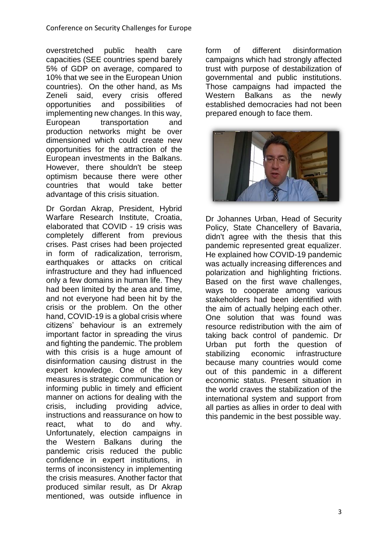overstretched public health care capacities (SEE countries spend barely 5% of GDP on average, compared to 10% that we see in the European Union countries). On the other hand, as Ms Zeneli said, every crisis offered opportunities and possibilities of implementing new changes. In this way, European transportation and production networks might be over dimensioned which could create new opportunities for the attraction of the European investments in the Balkans. However, there shouldn't be steep optimism because there were other countries that would take better advantage of this crisis situation.

Dr Gordan Akrap, President, Hybrid Warfare Research Institute, Croatia, elaborated that COVID - 19 crisis was completely different from previous crises. Past crises had been projected in form of radicalization, terrorism, earthquakes or attacks on critical infrastructure and they had influenced only a few domains in human life. They had been limited by the area and time, and not everyone had been hit by the crisis or the problem. On the other hand, COVID-19 is a global crisis where citizens' behaviour is an extremely important factor in spreading the virus and fighting the pandemic. The problem with this crisis is a huge amount of disinformation causing distrust in the expert knowledge. One of the key measures is strategic communication or informing public in timely and efficient manner on actions for dealing with the crisis, including providing advice, instructions and reassurance on how to react, what to do and why. Unfortunately, election campaigns in the Western Balkans during the pandemic crisis reduced the public confidence in expert institutions, in terms of inconsistency in implementing the crisis measures. Another factor that produced similar result, as Dr Akrap mentioned, was outside influence in form of different disinformation campaigns which had strongly affected trust with purpose of destabilization of governmental and public institutions. Those campaigns had impacted the Western Balkans as the newly established democracies had not been prepared enough to face them.



Dr Johannes Urban, Head of Security Policy, State Chancellery of Bavaria, didn't agree with the thesis that this pandemic represented great equalizer. He explained how COVID-19 pandemic was actually increasing differences and polarization and highlighting frictions. Based on the first wave challenges, ways to cooperate among various stakeholders had been identified with the aim of actually helping each other. One solution that was found was resource redistribution with the aim of taking back control of pandemic. Dr Urban put forth the question of stabilizing economic infrastructure because many countries would come out of this pandemic in a different economic status. Present situation in the world craves the stabilization of the international system and support from all parties as allies in order to deal with this pandemic in the best possible way.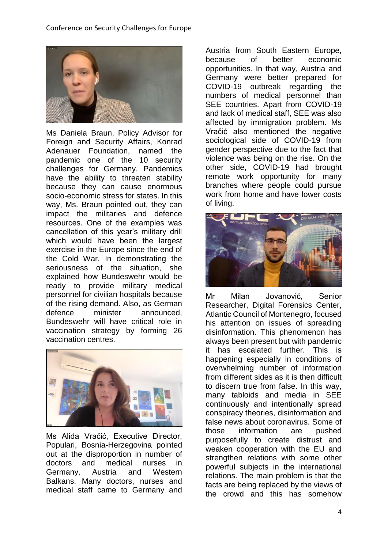

Ms Daniela Braun, Policy Advisor for Foreign and Security Affairs, Konrad Adenauer Foundation, named the pandemic one of the 10 security challenges for Germany. Pandemics have the ability to threaten stability because they can cause enormous socio-economic stress for states. In this way, Ms. Braun pointed out, they can impact the militaries and defence resources. One of the examples was cancellation of this year's military drill which would have been the largest exercise in the Europe since the end of the Cold War. In demonstrating the seriousness of the situation, she explained how Bundeswehr would be ready to provide military medical personnel for civilian hospitals because of the rising demand. Also, as German defence minister announced, Bundeswehr will have critical role in vaccination strategy by forming 26 vaccination centres.



Ms Alida Vračić, Executive Director, Populari, Bosnia-Herzegovina pointed out at the disproportion in number of doctors and medical nurses in Germany, Austria and Western Balkans. Many doctors, nurses and medical staff came to Germany and Austria from South Eastern Europe, because of better economic opportunities. In that way, Austria and Germany were better prepared for COVID-19 outbreak regarding the numbers of medical personnel than SEE countries. Apart from COVID-19 and lack of medical staff, SEE was also affected by immigration problem. Ms Vračić also mentioned the negative sociological side of COVID-19 from gender perspective due to the fact that violence was being on the rise. On the other side, COVID-19 had brought remote work opportunity for many branches where people could pursue work from home and have lower costs of living.



Mr Milan Jovanović, Senior Researcher, Digital Forensics Center, Atlantic Council of Montenegro, focused his attention on issues of spreading disinformation. This phenomenon has always been present but with pandemic it has escalated further. This is happening especially in conditions of overwhelming number of information from different sides as it is then difficult to discern true from false. In this way, many tabloids and media in SEE continuously and intentionally spread conspiracy theories, disinformation and false news about coronavirus. Some of those information are pushed purposefully to create distrust and weaken cooperation with the EU and strengthen relations with some other powerful subjects in the international relations. The main problem is that the facts are being replaced by the views of the crowd and this has somehow